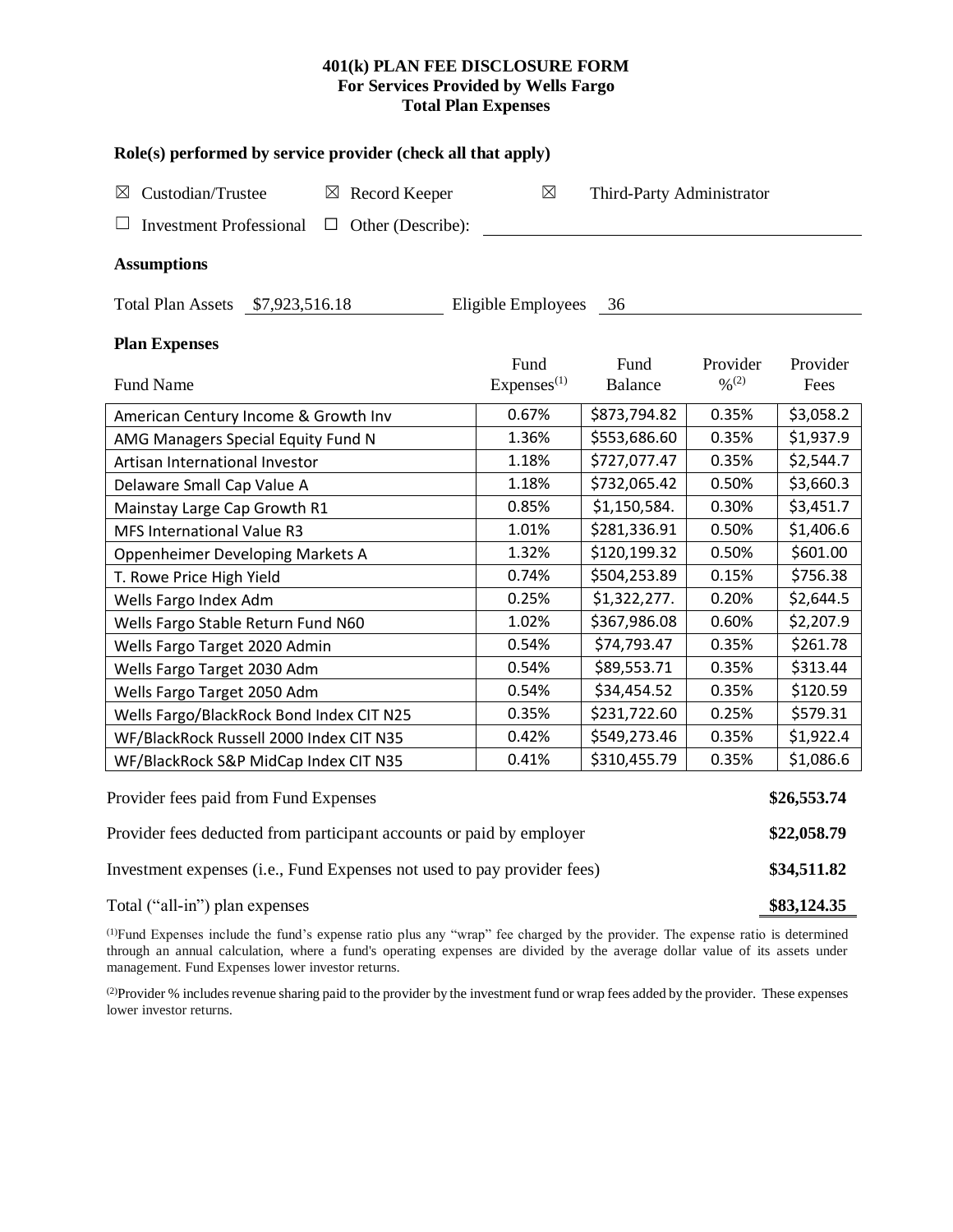# **401(k) PLAN FEE DISCLOSURE FORM For Services Provided by Wells Fargo Total Plan Expenses**

| Role(s) performed by service provider (check all that apply)            |                                |                           |                                          |                  |  |  |  |  |  |
|-------------------------------------------------------------------------|--------------------------------|---------------------------|------------------------------------------|------------------|--|--|--|--|--|
| Custodian/Trustee<br>$\boxtimes$ Record Keeper<br>$\boxtimes$           | $\boxtimes$                    | Third-Party Administrator |                                          |                  |  |  |  |  |  |
| <b>Investment Professional</b><br>$\Box$ Other (Describe):<br>ப         |                                |                           |                                          |                  |  |  |  |  |  |
| <b>Assumptions</b>                                                      |                                |                           |                                          |                  |  |  |  |  |  |
| Total Plan Assets \$7,923,516.18                                        | Eligible Employees             | - 36                      |                                          |                  |  |  |  |  |  |
| <b>Plan Expenses</b>                                                    |                                |                           |                                          |                  |  |  |  |  |  |
| <b>Fund Name</b>                                                        | Fund<br>Express <sup>(1)</sup> | Fund<br><b>Balance</b>    | Provider<br>$\frac{0}{2}$ <sup>(2)</sup> | Provider<br>Fees |  |  |  |  |  |
| American Century Income & Growth Inv                                    | 0.67%                          | \$873,794.82              | 0.35%                                    | \$3,058.2        |  |  |  |  |  |
| AMG Managers Special Equity Fund N                                      | 1.36%                          | \$553,686.60              | 0.35%                                    | \$1,937.9        |  |  |  |  |  |
| Artisan International Investor                                          | 1.18%                          | \$727,077.47              | 0.35%                                    | \$2,544.7        |  |  |  |  |  |
| Delaware Small Cap Value A                                              | 1.18%                          | \$732,065.42              | 0.50%                                    | \$3,660.3        |  |  |  |  |  |
| Mainstay Large Cap Growth R1                                            | 0.85%                          | \$1,150,584.              | 0.30%                                    | \$3,451.7        |  |  |  |  |  |
| <b>MFS International Value R3</b>                                       | 1.01%                          | \$281,336.91              | 0.50%                                    | \$1,406.6        |  |  |  |  |  |
| <b>Oppenheimer Developing Markets A</b>                                 | 1.32%                          | \$120,199.32              | 0.50%                                    | \$601.00         |  |  |  |  |  |
| T. Rowe Price High Yield                                                | 0.74%                          | \$504,253.89              | 0.15%                                    | \$756.38         |  |  |  |  |  |
| Wells Fargo Index Adm                                                   | 0.25%                          | \$1,322,277.              | 0.20%                                    | \$2,644.5        |  |  |  |  |  |
| Wells Fargo Stable Return Fund N60                                      | 1.02%                          | \$367,986.08              | 0.60%                                    | \$2,207.9        |  |  |  |  |  |
| Wells Fargo Target 2020 Admin                                           | 0.54%                          | \$74,793.47               | 0.35%                                    | \$261.78         |  |  |  |  |  |
| Wells Fargo Target 2030 Adm                                             | 0.54%                          | \$89,553.71               | 0.35%                                    | \$313.44         |  |  |  |  |  |
| Wells Fargo Target 2050 Adm                                             | 0.54%                          | \$34,454.52               | 0.35%                                    | \$120.59         |  |  |  |  |  |
| Wells Fargo/BlackRock Bond Index CIT N25                                | 0.35%                          | \$231,722.60              | 0.25%                                    | \$579.31         |  |  |  |  |  |
| WF/BlackRock Russell 2000 Index CIT N35                                 | 0.42%                          | \$549,273.46              | 0.35%                                    | \$1,922.4        |  |  |  |  |  |
| WF/BlackRock S&P MidCap Index CIT N35                                   | 0.41%                          | \$310,455.79              | 0.35%                                    | \$1,086.6        |  |  |  |  |  |
| Provider fees paid from Fund Expenses                                   |                                |                           |                                          | \$26,553.74      |  |  |  |  |  |
| Provider fees deducted from participant accounts or paid by employer    |                                |                           |                                          |                  |  |  |  |  |  |
| Investment expenses (i.e., Fund Expenses not used to pay provider fees) |                                |                           |                                          |                  |  |  |  |  |  |
| Total ("all-in") plan expenses                                          |                                |                           |                                          | \$83,124.35      |  |  |  |  |  |

(1)Fund Expenses include the fund's expense ratio plus any "wrap" fee charged by the provider. The expense ratio is determined through an annual calculation, where a fund's operating expenses are divided by the average dollar value of its assets under management. Fund Expenses lower investor returns.

<sup>(2)</sup>Provider % includes revenue sharing paid to the provider by the investment fund or wrap fees added by the provider. These expenses lower investor returns.